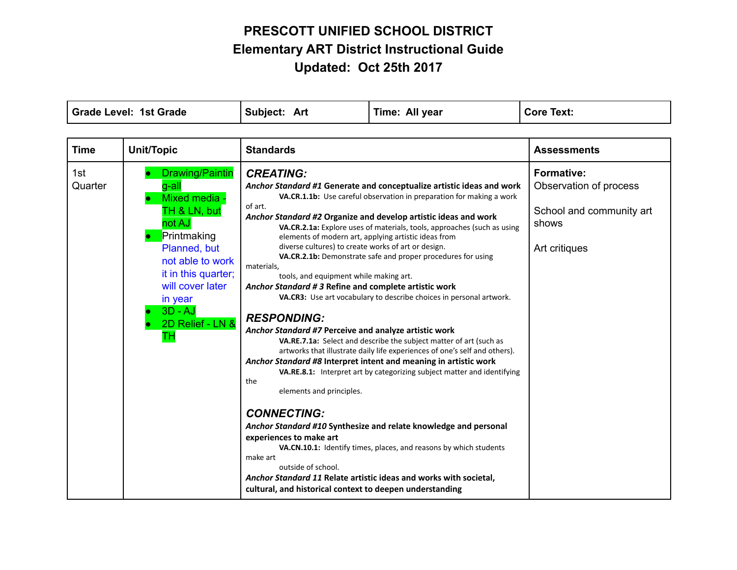| <b>Grade Level: 1st Grade</b> |                                                                                                                                                                                                                       | Subject: Art                                                                                                                                                                                                                                                                                                                                                                                                                                                         | Time: All year                                                                                                                                                                                                                                                                                                                                                                                                                                                                                                                                                                                                                                                                                                                                                                                                                                                                                                                                                                                              | <b>Core Text:</b>                                                                                 |
|-------------------------------|-----------------------------------------------------------------------------------------------------------------------------------------------------------------------------------------------------------------------|----------------------------------------------------------------------------------------------------------------------------------------------------------------------------------------------------------------------------------------------------------------------------------------------------------------------------------------------------------------------------------------------------------------------------------------------------------------------|-------------------------------------------------------------------------------------------------------------------------------------------------------------------------------------------------------------------------------------------------------------------------------------------------------------------------------------------------------------------------------------------------------------------------------------------------------------------------------------------------------------------------------------------------------------------------------------------------------------------------------------------------------------------------------------------------------------------------------------------------------------------------------------------------------------------------------------------------------------------------------------------------------------------------------------------------------------------------------------------------------------|---------------------------------------------------------------------------------------------------|
| <b>Time</b>                   | Unit/Topic                                                                                                                                                                                                            | <b>Standards</b>                                                                                                                                                                                                                                                                                                                                                                                                                                                     |                                                                                                                                                                                                                                                                                                                                                                                                                                                                                                                                                                                                                                                                                                                                                                                                                                                                                                                                                                                                             | <b>Assessments</b>                                                                                |
| 1st<br>Quarter                | Drawing/Paintin<br>$q-all$<br>Mixed media -<br>TH & LN, but<br>not AJ<br>Printmaking<br>Planned, but<br>not able to work<br>it in this quarter;<br>will cover later<br>in year<br>$3D - AJ$<br>2D Relief - LN &<br>ТH | <b>CREATING:</b><br>of art.<br>diverse cultures) to create works of art or design.<br>materials,<br>tools, and equipment while making art.<br>Anchor Standard # 3 Refine and complete artistic work<br><b>RESPONDING:</b><br>Anchor Standard #7 Perceive and analyze artistic work<br>the<br>elements and principles.<br><b>CONNECTING:</b><br>experiences to make art<br>make art<br>outside of school.<br>cultural, and historical context to deepen understanding | Anchor Standard #1 Generate and conceptualize artistic ideas and work<br>VA.CR.1.1b: Use careful observation in preparation for making a work<br>Anchor Standard #2 Organize and develop artistic ideas and work<br>VA.CR.2.1a: Explore uses of materials, tools, approaches (such as using<br>elements of modern art, applying artistic ideas from<br>VA.CR.2.1b: Demonstrate safe and proper procedures for using<br>VA.CR3: Use art vocabulary to describe choices in personal artwork.<br>VA.RE.7.1a: Select and describe the subject matter of art (such as<br>artworks that illustrate daily life experiences of one's self and others).<br>Anchor Standard #8 Interpret intent and meaning in artistic work<br>VA.RE.8.1: Interpret art by categorizing subject matter and identifying<br>Anchor Standard #10 Synthesize and relate knowledge and personal<br>VA.CN.10.1: Identify times, places, and reasons by which students<br>Anchor Standard 11 Relate artistic ideas and works with societal, | <b>Formative:</b><br>Observation of process<br>School and community art<br>shows<br>Art critiques |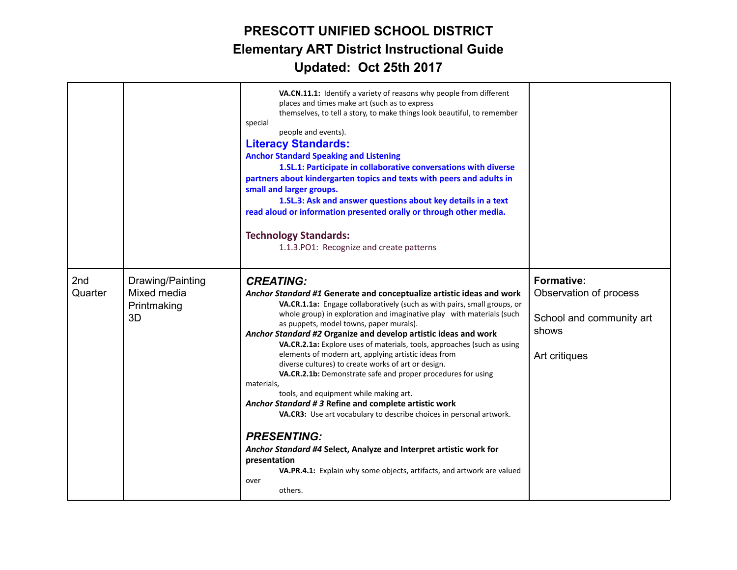|                |                                                      | VA.CN.11.1: Identify a variety of reasons why people from different<br>places and times make art (such as to express<br>themselves, to tell a story, to make things look beautiful, to remember<br>special<br>people and events).<br><b>Literacy Standards:</b><br><b>Anchor Standard Speaking and Listening</b><br>1.SL.1: Participate in collaborative conversations with diverse<br>partners about kindergarten topics and texts with peers and adults in<br>small and larger groups.<br>1.SL.3: Ask and answer questions about key details in a text<br>read aloud or information presented orally or through other media.<br><b>Technology Standards:</b><br>1.1.3. PO1: Recognize and create patterns                                                                                                                                                                                                                                                                                                            |                                                                                                   |
|----------------|------------------------------------------------------|------------------------------------------------------------------------------------------------------------------------------------------------------------------------------------------------------------------------------------------------------------------------------------------------------------------------------------------------------------------------------------------------------------------------------------------------------------------------------------------------------------------------------------------------------------------------------------------------------------------------------------------------------------------------------------------------------------------------------------------------------------------------------------------------------------------------------------------------------------------------------------------------------------------------------------------------------------------------------------------------------------------------|---------------------------------------------------------------------------------------------------|
| 2nd<br>Quarter | Drawing/Painting<br>Mixed media<br>Printmaking<br>3D | <b>CREATING:</b><br>Anchor Standard #1 Generate and conceptualize artistic ideas and work<br>VA.CR.1.1a: Engage collaboratively (such as with pairs, small groups, or<br>whole group) in exploration and imaginative play with materials (such<br>as puppets, model towns, paper murals).<br>Anchor Standard #2 Organize and develop artistic ideas and work<br>VA.CR.2.1a: Explore uses of materials, tools, approaches (such as using<br>elements of modern art, applying artistic ideas from<br>diverse cultures) to create works of art or design.<br>VA.CR.2.1b: Demonstrate safe and proper procedures for using<br>materials,<br>tools, and equipment while making art.<br>Anchor Standard #3 Refine and complete artistic work<br>VA.CR3: Use art vocabulary to describe choices in personal artwork.<br><b>PRESENTING:</b><br>Anchor Standard #4 Select, Analyze and Interpret artistic work for<br>presentation<br>VA.PR.4.1: Explain why some objects, artifacts, and artwork are valued<br>over<br>others. | <b>Formative:</b><br>Observation of process<br>School and community art<br>shows<br>Art critiques |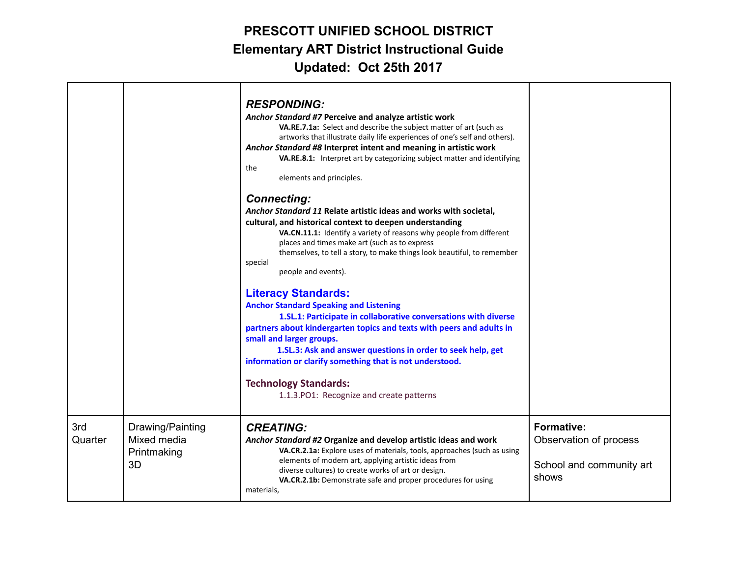|                |                                                      | <b>RESPONDING:</b><br>Anchor Standard #7 Perceive and analyze artistic work<br>VA.RE.7.1a: Select and describe the subject matter of art (such as<br>artworks that illustrate daily life experiences of one's self and others).<br>Anchor Standard #8 Interpret intent and meaning in artistic work<br>VA.RE.8.1: Interpret art by categorizing subject matter and identifying<br>the<br>elements and principles.<br><b>Connecting:</b><br>Anchor Standard 11 Relate artistic ideas and works with societal,<br>cultural, and historical context to deepen understanding<br>VA.CN.11.1: Identify a variety of reasons why people from different<br>places and times make art (such as to express<br>themselves, to tell a story, to make things look beautiful, to remember<br>special<br>people and events).<br><b>Literacy Standards:</b><br><b>Anchor Standard Speaking and Listening</b><br>1.SL.1: Participate in collaborative conversations with diverse<br>partners about kindergarten topics and texts with peers and adults in<br>small and larger groups.<br>1.SL.3: Ask and answer questions in order to seek help, get<br>information or clarify something that is not understood.<br><b>Technology Standards:</b><br>1.1.3.PO1: Recognize and create patterns |                                                                                  |
|----------------|------------------------------------------------------|-----------------------------------------------------------------------------------------------------------------------------------------------------------------------------------------------------------------------------------------------------------------------------------------------------------------------------------------------------------------------------------------------------------------------------------------------------------------------------------------------------------------------------------------------------------------------------------------------------------------------------------------------------------------------------------------------------------------------------------------------------------------------------------------------------------------------------------------------------------------------------------------------------------------------------------------------------------------------------------------------------------------------------------------------------------------------------------------------------------------------------------------------------------------------------------------------------------------------------------------------------------------------------|----------------------------------------------------------------------------------|
| 3rd<br>Quarter | Drawing/Painting<br>Mixed media<br>Printmaking<br>3D | <b>CREATING:</b><br>Anchor Standard #2 Organize and develop artistic ideas and work<br>VA.CR.2.1a: Explore uses of materials, tools, approaches (such as using<br>elements of modern art, applying artistic ideas from<br>diverse cultures) to create works of art or design.<br>VA.CR.2.1b: Demonstrate safe and proper procedures for using<br>materials,                                                                                                                                                                                                                                                                                                                                                                                                                                                                                                                                                                                                                                                                                                                                                                                                                                                                                                                 | <b>Formative:</b><br>Observation of process<br>School and community art<br>shows |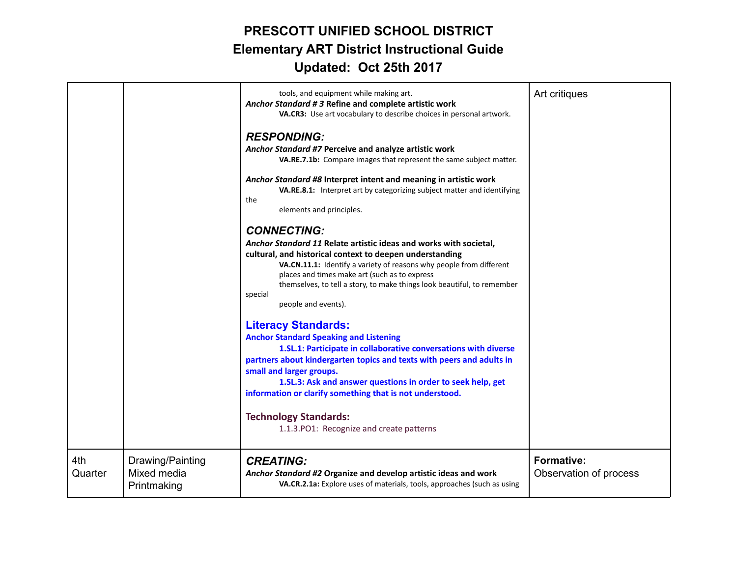|                |                                                | tools, and equipment while making art.<br>Anchor Standard #3 Refine and complete artistic work<br>VA.CR3: Use art vocabulary to describe choices in personal artwork.<br><b>RESPONDING:</b><br>Anchor Standard #7 Perceive and analyze artistic work<br>VA.RE.7.1b: Compare images that represent the same subject matter.<br>Anchor Standard #8 Interpret intent and meaning in artistic work<br>VA.RE.8.1: Interpret art by categorizing subject matter and identifying<br>the<br>elements and principles.<br><b>CONNECTING:</b><br>Anchor Standard 11 Relate artistic ideas and works with societal,<br>cultural, and historical context to deepen understanding<br>VA.CN.11.1: Identify a variety of reasons why people from different<br>places and times make art (such as to express<br>themselves, to tell a story, to make things look beautiful, to remember<br>special<br>people and events).<br><b>Literacy Standards:</b><br><b>Anchor Standard Speaking and Listening</b><br>1.SL.1: Participate in collaborative conversations with diverse<br>partners about kindergarten topics and texts with peers and adults in<br>small and larger groups.<br>1.SL.3: Ask and answer questions in order to seek help, get<br>information or clarify something that is not understood.<br><b>Technology Standards:</b><br>1.1.3.PO1: Recognize and create patterns | Art critiques                               |
|----------------|------------------------------------------------|------------------------------------------------------------------------------------------------------------------------------------------------------------------------------------------------------------------------------------------------------------------------------------------------------------------------------------------------------------------------------------------------------------------------------------------------------------------------------------------------------------------------------------------------------------------------------------------------------------------------------------------------------------------------------------------------------------------------------------------------------------------------------------------------------------------------------------------------------------------------------------------------------------------------------------------------------------------------------------------------------------------------------------------------------------------------------------------------------------------------------------------------------------------------------------------------------------------------------------------------------------------------------------------------------------------------------------------------------------------------|---------------------------------------------|
| 4th<br>Quarter | Drawing/Painting<br>Mixed media<br>Printmaking | <b>CREATING:</b><br>Anchor Standard #2 Organize and develop artistic ideas and work<br>VA.CR.2.1a: Explore uses of materials, tools, approaches (such as using                                                                                                                                                                                                                                                                                                                                                                                                                                                                                                                                                                                                                                                                                                                                                                                                                                                                                                                                                                                                                                                                                                                                                                                                         | <b>Formative:</b><br>Observation of process |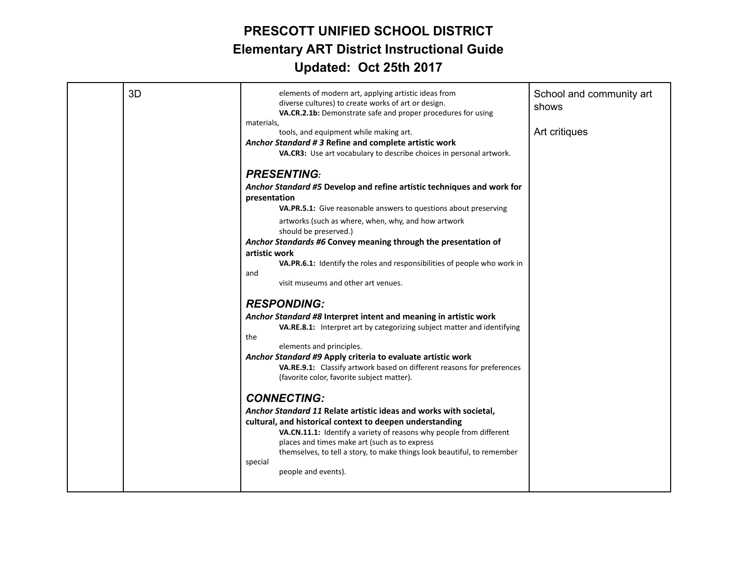| 3D | elements of modern art, applying artistic ideas from<br>diverse cultures) to create works of art or design.<br>VA.CR.2.1b: Demonstrate safe and proper procedures for using                                                                                                                                                                                                              | School and community art<br>shows |
|----|------------------------------------------------------------------------------------------------------------------------------------------------------------------------------------------------------------------------------------------------------------------------------------------------------------------------------------------------------------------------------------------|-----------------------------------|
|    | materials,<br>tools, and equipment while making art.<br>Anchor Standard # 3 Refine and complete artistic work<br>VA.CR3: Use art vocabulary to describe choices in personal artwork.                                                                                                                                                                                                     | Art critiques                     |
|    | <b>PRESENTING:</b><br>Anchor Standard #5 Develop and refine artistic techniques and work for<br>presentation                                                                                                                                                                                                                                                                             |                                   |
|    | VA.PR.5.1: Give reasonable answers to questions about preserving<br>artworks (such as where, when, why, and how artwork<br>should be preserved.)<br>Anchor Standards #6 Convey meaning through the presentation of                                                                                                                                                                       |                                   |
|    | artistic work<br>VA.PR.6.1: Identify the roles and responsibilities of people who work in<br>and<br>visit museums and other art venues.                                                                                                                                                                                                                                                  |                                   |
|    | <b>RESPONDING:</b><br>Anchor Standard #8 Interpret intent and meaning in artistic work<br>VA.RE.8.1: Interpret art by categorizing subject matter and identifying                                                                                                                                                                                                                        |                                   |
|    | the<br>elements and principles.<br>Anchor Standard #9 Apply criteria to evaluate artistic work<br>VA.RE.9.1: Classify artwork based on different reasons for preferences<br>(favorite color, favorite subject matter).                                                                                                                                                                   |                                   |
|    | <b>CONNECTING:</b><br>Anchor Standard 11 Relate artistic ideas and works with societal,<br>cultural, and historical context to deepen understanding<br>VA.CN.11.1: Identify a variety of reasons why people from different<br>places and times make art (such as to express<br>themselves, to tell a story, to make things look beautiful, to remember<br>special<br>people and events). |                                   |
|    |                                                                                                                                                                                                                                                                                                                                                                                          |                                   |